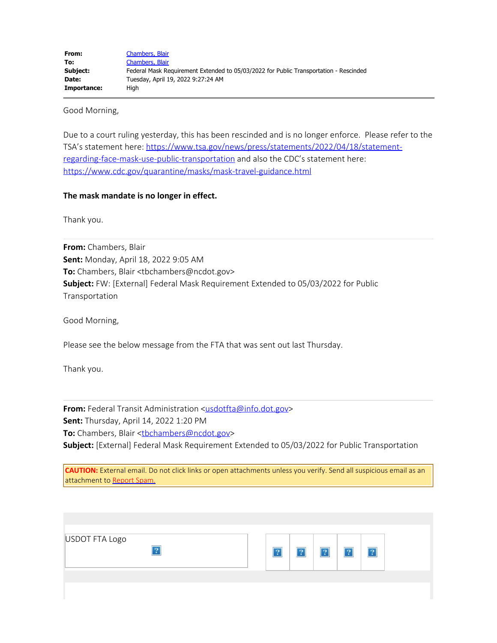Good Morning,

Due to a court ruling yesterday, this has been rescinded and is no longer enforce. Please refer to the TSA's statement here: [https://www.tsa.gov/news/press/statements/2022/04/18/statement](https://www.tsa.gov/news/press/statements/2022/04/18/statement-regarding-face-mask-use-public-transportation)[regarding-face-mask-use-public-transportation](https://www.tsa.gov/news/press/statements/2022/04/18/statement-regarding-face-mask-use-public-transportation) and also the CDC's statement here: <https://www.cdc.gov/quarantine/masks/mask-travel-guidance.html>

## **The mask mandate is no longer in effect.**

Thank you.

**From:** Chambers, Blair **Sent:** Monday, April 18, 2022 9:05 AM **To:** Chambers, Blair <tbchambers@ncdot.gov> **Subject:** FW: [External] Federal Mask Requirement Extended to 05/03/2022 for Public Transportation

Good Morning,

Please see the below message from the FTA that was sent out last Thursday.

Thank you.

**From:** Federal Transit Administration [<usdotfta@info.dot.gov](mailto:usdotfta@info.dot.gov)> **Sent:** Thursday, April 14, 2022 1:20 PM To: Chambers, Blair <thchambers@ncdot.gov>

**Subject:** [External] Federal Mask Requirement Extended to 05/03/2022 for Public Transportation

**CAUTION:** External email. Do not click links or open attachments unless you verify. Send all suspicious email as an attachment to [Report Spam.](mailto:report.spam@nc.gov)

| USDOT FTA Logo<br>$\overline{2}$ |  |  |  |  |
|----------------------------------|--|--|--|--|
|                                  |  |  |  |  |